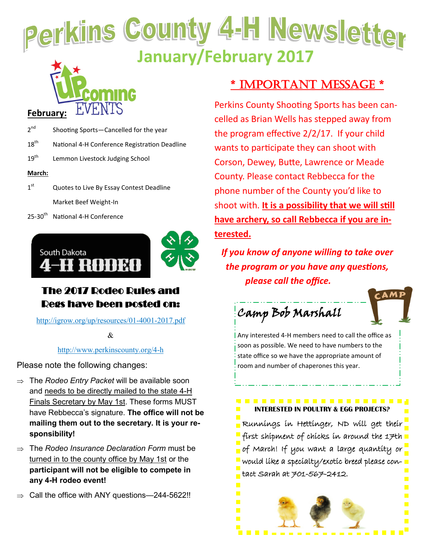## Perkins County 4-H Newsletter **January/February 2017**



- $2<sup>nd</sup>$ Shooting Sports—Cancelled for the year
- $18<sup>th</sup>$  National 4-H Conference Registration Deadline
- 19<sup>th</sup> Lemmon Livestock Judging School

#### **March:**

- $1<sup>st</sup>$ Quotes to Live By Essay Contest Deadline Market Beef Weight-In
- 25-30<sup>th</sup> National 4-H Conference





#### The 2017 Rodeo Rules and Regs have been posted on:

[http://igrow.org/up/resources/01](http://igrow.org/up/resources/01-4001-2017.pdf)-4001-2017.pdf

 $\mathcal{R}_{\mathcal{L}}$ 

#### http://www.perkinscounty.org/4-h

Please note the following changes:

- The *Rodeo Entry Packet* will be available soon and needs to be directly mailed to the state 4-H Finals Secretary by May 1st. These forms MUST have Rebbecca's signature. **The office will not be mailing them out to the secretary. It is your responsibility!**
- The *Rodeo Insurance Declaration Form* must be turned in to the county office by May 1st or the **participant will not be eligible to compete in any 4-H rodeo event!**
- $\Rightarrow$  Call the office with ANY questions—244-5622!!

## \* IMPORTANT MESSAGE \*

Perkins County Shooting Sports has been cancelled as Brian Wells has stepped away from the program effective 2/2/17. If your child wants to participate they can shoot with Corson, Dewey, Butte, Lawrence or Meade County. Please contact Rebbecca for the phone number of the County you'd like to shoot with. **It is a possibility that we will still have archery, so call Rebbecca if you are interested.**

*If you know of anyone willing to take over the program or you have any questions, please call the office.*

Camp Bob Marshall

Any interested 4-H members need to call the office as soon as possible. We need to have numbers to the state office so we have the appropriate amount of room and number of chaperones this year.

#### **INTERESTED IN POULTRY & EGG PROJECTS?**

Runnings in Hettinger, ND will get their first shipment of chicks in around the 17th of March! If you want a large quantity or would like a specialty/exotic breed please contact Sarah at 701-567-2412.